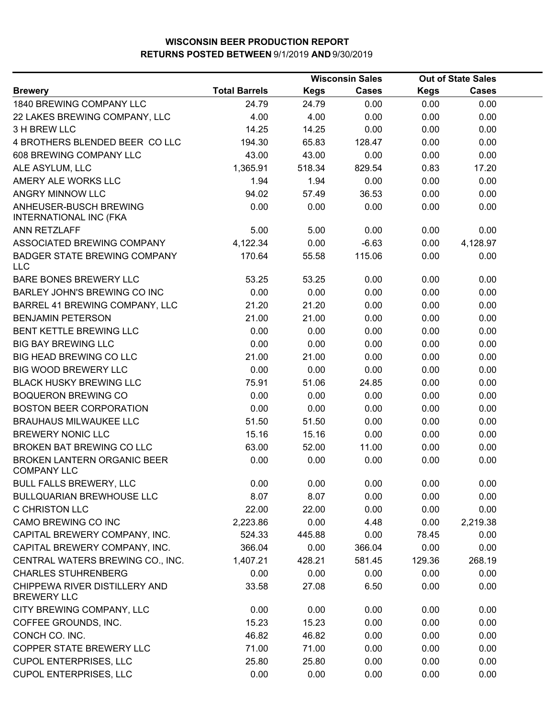|                                                     |                      |             | <b>Wisconsin Sales</b> | <b>Out of State Sales</b> |              |  |
|-----------------------------------------------------|----------------------|-------------|------------------------|---------------------------|--------------|--|
| <b>Brewery</b>                                      | <b>Total Barrels</b> | <b>Kegs</b> | <b>Cases</b>           | <b>Kegs</b>               | <b>Cases</b> |  |
| 1840 BREWING COMPANY LLC                            | 24.79                | 24.79       | 0.00                   | 0.00                      | 0.00         |  |
| 22 LAKES BREWING COMPANY, LLC                       | 4.00                 | 4.00        | 0.00                   | 0.00                      | 0.00         |  |
| 3 H BREW LLC                                        | 14.25                | 14.25       | 0.00                   | 0.00                      | 0.00         |  |
| 4 BROTHERS BLENDED BEER CO LLC                      | 194.30               | 65.83       | 128.47                 | 0.00                      | 0.00         |  |
| 608 BREWING COMPANY LLC                             | 43.00                | 43.00       | 0.00                   | 0.00                      | 0.00         |  |
| ALE ASYLUM, LLC                                     | 1,365.91             | 518.34      | 829.54                 | 0.83                      | 17.20        |  |
| AMERY ALE WORKS LLC                                 | 1.94                 | 1.94        | 0.00                   | 0.00                      | 0.00         |  |
| ANGRY MINNOW LLC                                    | 94.02                | 57.49       | 36.53                  | 0.00                      | 0.00         |  |
| ANHEUSER-BUSCH BREWING<br>INTERNATIONAL INC (FKA    | 0.00                 | 0.00        | 0.00                   | 0.00                      | 0.00         |  |
| ANN RETZLAFF                                        | 5.00                 | 5.00        | 0.00                   | 0.00                      | 0.00         |  |
| ASSOCIATED BREWING COMPANY                          | 4,122.34             | 0.00        | $-6.63$                | 0.00                      | 4,128.97     |  |
| <b>BADGER STATE BREWING COMPANY</b><br><b>LLC</b>   | 170.64               | 55.58       | 115.06                 | 0.00                      | 0.00         |  |
| BARE BONES BREWERY LLC                              | 53.25                | 53.25       | 0.00                   | 0.00                      | 0.00         |  |
| BARLEY JOHN'S BREWING CO INC                        | 0.00                 | 0.00        | 0.00                   | 0.00                      | 0.00         |  |
| BARREL 41 BREWING COMPANY, LLC                      | 21.20                | 21.20       | 0.00                   | 0.00                      | 0.00         |  |
| <b>BENJAMIN PETERSON</b>                            | 21.00                | 21.00       | 0.00                   | 0.00                      | 0.00         |  |
| BENT KETTLE BREWING LLC                             | 0.00                 | 0.00        | 0.00                   | 0.00                      | 0.00         |  |
| <b>BIG BAY BREWING LLC</b>                          | 0.00                 | 0.00        | 0.00                   | 0.00                      | 0.00         |  |
| <b>BIG HEAD BREWING CO LLC</b>                      | 21.00                | 21.00       | 0.00                   | 0.00                      | 0.00         |  |
| <b>BIG WOOD BREWERY LLC</b>                         | 0.00                 | 0.00        | 0.00                   | 0.00                      | 0.00         |  |
| <b>BLACK HUSKY BREWING LLC</b>                      | 75.91                | 51.06       | 24.85                  | 0.00                      | 0.00         |  |
| <b>BOQUERON BREWING CO</b>                          | 0.00                 | 0.00        | 0.00                   | 0.00                      | 0.00         |  |
| <b>BOSTON BEER CORPORATION</b>                      | 0.00                 | 0.00        | 0.00                   | 0.00                      | 0.00         |  |
| <b>BRAUHAUS MILWAUKEE LLC</b>                       | 51.50                | 51.50       | 0.00                   | 0.00                      | 0.00         |  |
| <b>BREWERY NONIC LLC</b>                            | 15.16                | 15.16       | 0.00                   | 0.00                      | 0.00         |  |
| BROKEN BAT BREWING CO LLC                           | 63.00                | 52.00       | 11.00                  | 0.00                      | 0.00         |  |
| BROKEN LANTERN ORGANIC BEER<br><b>COMPANY LLC</b>   | 0.00                 | 0.00        | 0.00                   | 0.00                      | 0.00         |  |
| <b>BULL FALLS BREWERY, LLC</b>                      | 0.00                 | 0.00        | 0.00                   | 0.00                      | 0.00         |  |
| <b>BULLQUARIAN BREWHOUSE LLC</b>                    | 8.07                 | 8.07        | 0.00                   | 0.00                      | 0.00         |  |
| C CHRISTON LLC                                      | 22.00                | 22.00       | 0.00                   | 0.00                      | 0.00         |  |
| CAMO BREWING CO INC                                 | 2,223.86             | 0.00        | 4.48                   | 0.00                      | 2,219.38     |  |
| CAPITAL BREWERY COMPANY, INC.                       | 524.33               | 445.88      | 0.00                   | 78.45                     | 0.00         |  |
| CAPITAL BREWERY COMPANY, INC.                       | 366.04               | 0.00        | 366.04                 | 0.00                      | 0.00         |  |
| CENTRAL WATERS BREWING CO., INC.                    | 1,407.21             | 428.21      | 581.45                 | 129.36                    | 268.19       |  |
| <b>CHARLES STUHRENBERG</b>                          | 0.00                 | 0.00        | 0.00                   | 0.00                      | 0.00         |  |
| CHIPPEWA RIVER DISTILLERY AND<br><b>BREWERY LLC</b> | 33.58                | 27.08       | 6.50                   | 0.00                      | 0.00         |  |
| CITY BREWING COMPANY, LLC                           | 0.00                 | 0.00        | 0.00                   | 0.00                      | 0.00         |  |
| COFFEE GROUNDS, INC.                                | 15.23                | 15.23       | 0.00                   | 0.00                      | 0.00         |  |
| CONCH CO. INC.                                      | 46.82                | 46.82       | 0.00                   | 0.00                      | 0.00         |  |
| COPPER STATE BREWERY LLC                            | 71.00                | 71.00       | 0.00                   | 0.00                      | 0.00         |  |
| <b>CUPOL ENTERPRISES, LLC</b>                       | 25.80                | 25.80       | 0.00                   | 0.00                      | 0.00         |  |
| <b>CUPOL ENTERPRISES, LLC</b>                       | 0.00                 | 0.00        | 0.00                   | 0.00                      | 0.00         |  |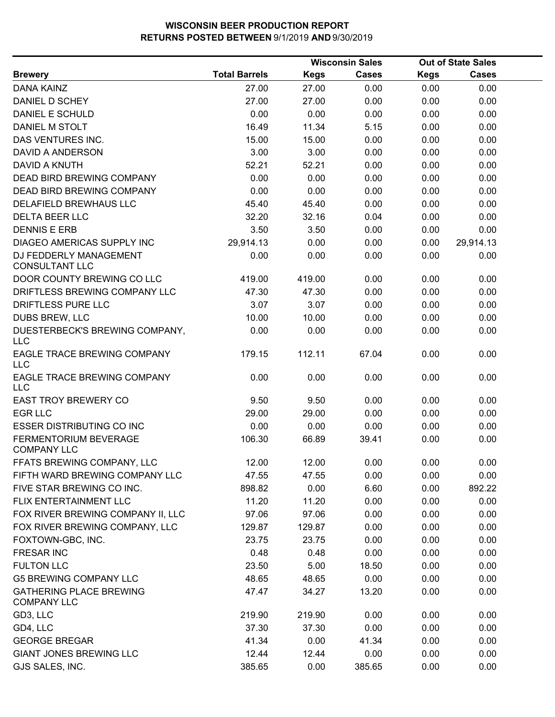|                                                      |                      |             | <b>Wisconsin Sales</b> |             | <b>Out of State Sales</b> |  |
|------------------------------------------------------|----------------------|-------------|------------------------|-------------|---------------------------|--|
| <b>Brewery</b>                                       | <b>Total Barrels</b> | <b>Kegs</b> | Cases                  | <b>Kegs</b> | <b>Cases</b>              |  |
| <b>DANA KAINZ</b>                                    | 27.00                | 27.00       | 0.00                   | 0.00        | 0.00                      |  |
| DANIEL D SCHEY                                       | 27.00                | 27.00       | 0.00                   | 0.00        | 0.00                      |  |
| <b>DANIEL E SCHULD</b>                               | 0.00                 | 0.00        | 0.00                   | 0.00        | 0.00                      |  |
| DANIEL M STOLT                                       | 16.49                | 11.34       | 5.15                   | 0.00        | 0.00                      |  |
| DAS VENTURES INC.                                    | 15.00                | 15.00       | 0.00                   | 0.00        | 0.00                      |  |
| DAVID A ANDERSON                                     | 3.00                 | 3.00        | 0.00                   | 0.00        | 0.00                      |  |
| <b>DAVID A KNUTH</b>                                 | 52.21                | 52.21       | 0.00                   | 0.00        | 0.00                      |  |
| <b>DEAD BIRD BREWING COMPANY</b>                     | 0.00                 | 0.00        | 0.00                   | 0.00        | 0.00                      |  |
| DEAD BIRD BREWING COMPANY                            | 0.00                 | 0.00        | 0.00                   | 0.00        | 0.00                      |  |
| DELAFIELD BREWHAUS LLC                               | 45.40                | 45.40       | 0.00                   | 0.00        | 0.00                      |  |
| <b>DELTA BEER LLC</b>                                | 32.20                | 32.16       | 0.04                   | 0.00        | 0.00                      |  |
| <b>DENNIS E ERB</b>                                  | 3.50                 | 3.50        | 0.00                   | 0.00        | 0.00                      |  |
| <b>DIAGEO AMERICAS SUPPLY INC</b>                    | 29,914.13            | 0.00        | 0.00                   | 0.00        | 29,914.13                 |  |
| DJ FEDDERLY MANAGEMENT<br><b>CONSULTANT LLC</b>      | 0.00                 | 0.00        | 0.00                   | 0.00        | 0.00                      |  |
| DOOR COUNTY BREWING CO LLC                           | 419.00               | 419.00      | 0.00                   | 0.00        | 0.00                      |  |
| DRIFTLESS BREWING COMPANY LLC                        | 47.30                | 47.30       | 0.00                   | 0.00        | 0.00                      |  |
| DRIFTLESS PURE LLC                                   | 3.07                 | 3.07        | 0.00                   | 0.00        | 0.00                      |  |
| <b>DUBS BREW, LLC</b>                                | 10.00                | 10.00       | 0.00                   | 0.00        | 0.00                      |  |
| DUESTERBECK'S BREWING COMPANY,<br><b>LLC</b>         | 0.00                 | 0.00        | 0.00                   | 0.00        | 0.00                      |  |
| EAGLE TRACE BREWING COMPANY<br><b>LLC</b>            | 179.15               | 112.11      | 67.04                  | 0.00        | 0.00                      |  |
| EAGLE TRACE BREWING COMPANY<br><b>LLC</b>            | 0.00                 | 0.00        | 0.00                   | 0.00        | 0.00                      |  |
| <b>EAST TROY BREWERY CO</b>                          | 9.50                 | 9.50        | 0.00                   | 0.00        | 0.00                      |  |
| <b>EGR LLC</b>                                       | 29.00                | 29.00       | 0.00                   | 0.00        | 0.00                      |  |
| <b>ESSER DISTRIBUTING CO INC</b>                     | 0.00                 | 0.00        | 0.00                   | 0.00        | 0.00                      |  |
| FERMENTORIUM BEVERAGE<br><b>COMPANY LLC</b>          | 106.30               | 66.89       | 39.41                  | 0.00        | 0.00                      |  |
| FFATS BREWING COMPANY, LLC                           | 12.00                | 12.00       | 0.00                   | 0.00        | 0.00                      |  |
| FIFTH WARD BREWING COMPANY LLC                       | 47.55                | 47.55       | 0.00                   | 0.00        | 0.00                      |  |
| FIVE STAR BREWING CO INC.                            | 898.82               | 0.00        | 6.60                   | 0.00        | 892.22                    |  |
| FLIX ENTERTAINMENT LLC                               | 11.20                | 11.20       | 0.00                   | 0.00        | 0.00                      |  |
| FOX RIVER BREWING COMPANY II, LLC                    | 97.06                | 97.06       | 0.00                   | 0.00        | 0.00                      |  |
| FOX RIVER BREWING COMPANY, LLC                       | 129.87               | 129.87      | 0.00                   | 0.00        | 0.00                      |  |
| FOXTOWN-GBC, INC.                                    | 23.75                | 23.75       | 0.00                   | 0.00        | 0.00                      |  |
| <b>FRESAR INC</b>                                    | 0.48                 | 0.48        | 0.00                   | 0.00        | 0.00                      |  |
| <b>FULTON LLC</b>                                    | 23.50                | 5.00        | 18.50                  | 0.00        | 0.00                      |  |
| <b>G5 BREWING COMPANY LLC</b>                        | 48.65                | 48.65       | 0.00                   | 0.00        | 0.00                      |  |
| <b>GATHERING PLACE BREWING</b><br><b>COMPANY LLC</b> | 47.47                | 34.27       | 13.20                  | 0.00        | 0.00                      |  |
| GD3, LLC                                             | 219.90               | 219.90      | 0.00                   | 0.00        | 0.00                      |  |
| GD4, LLC                                             | 37.30                | 37.30       | 0.00                   | 0.00        | 0.00                      |  |
| <b>GEORGE BREGAR</b>                                 | 41.34                | 0.00        | 41.34                  | 0.00        | 0.00                      |  |
| <b>GIANT JONES BREWING LLC</b>                       | 12.44                | 12.44       | 0.00                   | 0.00        | 0.00                      |  |
| GJS SALES, INC.                                      | 385.65               | 0.00        | 385.65                 | 0.00        | 0.00                      |  |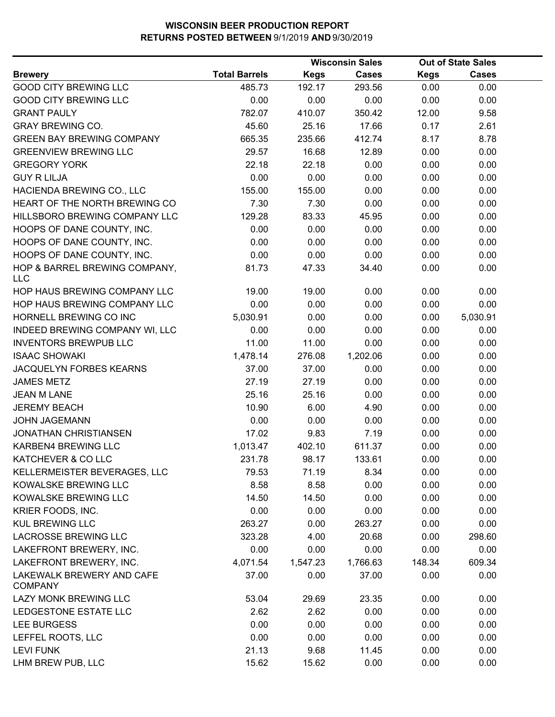|                                             |                      |             | <b>Wisconsin Sales</b> |             | <b>Out of State Sales</b> |  |
|---------------------------------------------|----------------------|-------------|------------------------|-------------|---------------------------|--|
| <b>Brewery</b>                              | <b>Total Barrels</b> | <b>Kegs</b> | <b>Cases</b>           | <b>Kegs</b> | <b>Cases</b>              |  |
| <b>GOOD CITY BREWING LLC</b>                | 485.73               | 192.17      | 293.56                 | 0.00        | 0.00                      |  |
| <b>GOOD CITY BREWING LLC</b>                | 0.00                 | 0.00        | 0.00                   | 0.00        | 0.00                      |  |
| <b>GRANT PAULY</b>                          | 782.07               | 410.07      | 350.42                 | 12.00       | 9.58                      |  |
| <b>GRAY BREWING CO.</b>                     | 45.60                | 25.16       | 17.66                  | 0.17        | 2.61                      |  |
| <b>GREEN BAY BREWING COMPANY</b>            | 665.35               | 235.66      | 412.74                 | 8.17        | 8.78                      |  |
| <b>GREENVIEW BREWING LLC</b>                | 29.57                | 16.68       | 12.89                  | 0.00        | 0.00                      |  |
| <b>GREGORY YORK</b>                         | 22.18                | 22.18       | 0.00                   | 0.00        | 0.00                      |  |
| <b>GUY R LILJA</b>                          | 0.00                 | 0.00        | 0.00                   | 0.00        | 0.00                      |  |
| HACIENDA BREWING CO., LLC                   | 155.00               | 155.00      | 0.00                   | 0.00        | 0.00                      |  |
| HEART OF THE NORTH BREWING CO               | 7.30                 | 7.30        | 0.00                   | 0.00        | 0.00                      |  |
| HILLSBORO BREWING COMPANY LLC               | 129.28               | 83.33       | 45.95                  | 0.00        | 0.00                      |  |
| HOOPS OF DANE COUNTY, INC.                  | 0.00                 | 0.00        | 0.00                   | 0.00        | 0.00                      |  |
| HOOPS OF DANE COUNTY, INC.                  | 0.00                 | 0.00        | 0.00                   | 0.00        | 0.00                      |  |
| HOOPS OF DANE COUNTY, INC.                  | 0.00                 | 0.00        | 0.00                   | 0.00        | 0.00                      |  |
| HOP & BARREL BREWING COMPANY,<br><b>LLC</b> | 81.73                | 47.33       | 34.40                  | 0.00        | 0.00                      |  |
| HOP HAUS BREWING COMPANY LLC                | 19.00                | 19.00       | 0.00                   | 0.00        | 0.00                      |  |
| HOP HAUS BREWING COMPANY LLC                | 0.00                 | 0.00        | 0.00                   | 0.00        | 0.00                      |  |
| HORNELL BREWING CO INC                      | 5,030.91             | 0.00        | 0.00                   | 0.00        | 5,030.91                  |  |
| INDEED BREWING COMPANY WI, LLC              | 0.00                 | 0.00        | 0.00                   | 0.00        | 0.00                      |  |
| <b>INVENTORS BREWPUB LLC</b>                | 11.00                | 11.00       | 0.00                   | 0.00        | 0.00                      |  |
| <b>ISAAC SHOWAKI</b>                        | 1,478.14             | 276.08      | 1,202.06               | 0.00        | 0.00                      |  |
| JACQUELYN FORBES KEARNS                     | 37.00                | 37.00       | 0.00                   | 0.00        | 0.00                      |  |
| <b>JAMES METZ</b>                           | 27.19                | 27.19       | 0.00                   | 0.00        | 0.00                      |  |
| <b>JEAN M LANE</b>                          | 25.16                | 25.16       | 0.00                   | 0.00        | 0.00                      |  |
| <b>JEREMY BEACH</b>                         | 10.90                | 6.00        | 4.90                   | 0.00        | 0.00                      |  |
| <b>JOHN JAGEMANN</b>                        | 0.00                 | 0.00        | 0.00                   | 0.00        | 0.00                      |  |
| <b>JONATHAN CHRISTIANSEN</b>                | 17.02                | 9.83        | 7.19                   | 0.00        | 0.00                      |  |
| KARBEN4 BREWING LLC                         | 1,013.47             | 402.10      | 611.37                 | 0.00        | 0.00                      |  |
| KATCHEVER & CO LLC                          | 231.78               | 98.17       | 133.61                 | 0.00        | 0.00                      |  |
| KELLERMEISTER BEVERAGES, LLC                | 79.53                | 71.19       | 8.34                   | 0.00        | 0.00                      |  |
| KOWALSKE BREWING LLC                        | 8.58                 | 8.58        | 0.00                   | 0.00        | 0.00                      |  |
| KOWALSKE BREWING LLC                        | 14.50                | 14.50       | 0.00                   | 0.00        | 0.00                      |  |
| KRIER FOODS, INC.                           | 0.00                 | 0.00        | 0.00                   | 0.00        | 0.00                      |  |
| <b>KUL BREWING LLC</b>                      | 263.27               | 0.00        | 263.27                 | 0.00        | 0.00                      |  |
| <b>LACROSSE BREWING LLC</b>                 | 323.28               | 4.00        | 20.68                  | 0.00        | 298.60                    |  |
| LAKEFRONT BREWERY, INC.                     | 0.00                 | 0.00        | 0.00                   | 0.00        | 0.00                      |  |
| LAKEFRONT BREWERY, INC.                     | 4,071.54             | 1,547.23    | 1,766.63               | 148.34      | 609.34                    |  |
| LAKEWALK BREWERY AND CAFE<br><b>COMPANY</b> | 37.00                | 0.00        | 37.00                  | 0.00        | 0.00                      |  |
| LAZY MONK BREWING LLC                       | 53.04                | 29.69       | 23.35                  | 0.00        | 0.00                      |  |
| LEDGESTONE ESTATE LLC                       | 2.62                 | 2.62        | 0.00                   | 0.00        | 0.00                      |  |
| LEE BURGESS                                 | 0.00                 | 0.00        | 0.00                   | 0.00        | 0.00                      |  |
| LEFFEL ROOTS, LLC                           | 0.00                 | 0.00        | 0.00                   | 0.00        | 0.00                      |  |
| <b>LEVI FUNK</b>                            | 21.13                | 9.68        | 11.45                  | 0.00        | 0.00                      |  |
| LHM BREW PUB, LLC                           | 15.62                | 15.62       | 0.00                   | 0.00        | 0.00                      |  |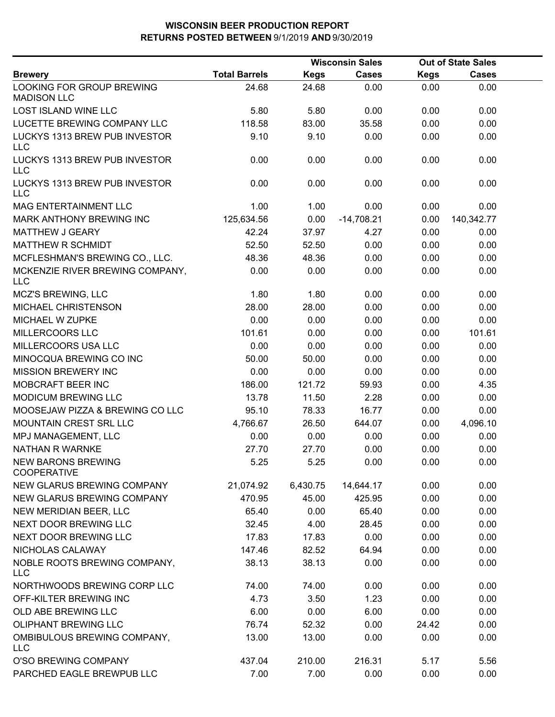|                                                 |                      | <b>Wisconsin Sales</b> |              |             | <b>Out of State Sales</b> |  |
|-------------------------------------------------|----------------------|------------------------|--------------|-------------|---------------------------|--|
| <b>Brewery</b>                                  | <b>Total Barrels</b> | <b>Kegs</b>            | <b>Cases</b> | <b>Kegs</b> | <b>Cases</b>              |  |
| LOOKING FOR GROUP BREWING<br><b>MADISON LLC</b> | 24.68                | 24.68                  | 0.00         | 0.00        | 0.00                      |  |
| <b>LOST ISLAND WINE LLC</b>                     | 5.80                 | 5.80                   | 0.00         | 0.00        | 0.00                      |  |
| LUCETTE BREWING COMPANY LLC                     | 118.58               | 83.00                  | 35.58        | 0.00        | 0.00                      |  |
| LUCKYS 1313 BREW PUB INVESTOR<br><b>LLC</b>     | 9.10                 | 9.10                   | 0.00         | 0.00        | 0.00                      |  |
| LUCKYS 1313 BREW PUB INVESTOR<br><b>LLC</b>     | 0.00                 | 0.00                   | 0.00         | 0.00        | 0.00                      |  |
| LUCKYS 1313 BREW PUB INVESTOR<br><b>LLC</b>     | 0.00                 | 0.00                   | 0.00         | 0.00        | 0.00                      |  |
| MAG ENTERTAINMENT LLC                           | 1.00                 | 1.00                   | 0.00         | 0.00        | 0.00                      |  |
| MARK ANTHONY BREWING INC                        | 125,634.56           | 0.00                   | $-14,708.21$ | 0.00        | 140,342.77                |  |
| MATTHEW J GEARY                                 | 42.24                | 37.97                  | 4.27         | 0.00        | 0.00                      |  |
| <b>MATTHEW R SCHMIDT</b>                        | 52.50                | 52.50                  | 0.00         | 0.00        | 0.00                      |  |
| MCFLESHMAN'S BREWING CO., LLC.                  | 48.36                | 48.36                  | 0.00         | 0.00        | 0.00                      |  |
| MCKENZIE RIVER BREWING COMPANY,<br><b>LLC</b>   | 0.00                 | 0.00                   | 0.00         | 0.00        | 0.00                      |  |
| <b>MCZ'S BREWING, LLC</b>                       | 1.80                 | 1.80                   | 0.00         | 0.00        | 0.00                      |  |
| MICHAEL CHRISTENSON                             | 28.00                | 28.00                  | 0.00         | 0.00        | 0.00                      |  |
| MICHAEL W ZUPKE                                 | 0.00                 | 0.00                   | 0.00         | 0.00        | 0.00                      |  |
| MILLERCOORS LLC                                 | 101.61               | 0.00                   | 0.00         | 0.00        | 101.61                    |  |
| MILLERCOORS USA LLC                             | 0.00                 | 0.00                   | 0.00         | 0.00        | 0.00                      |  |
| MINOCQUA BREWING CO INC                         | 50.00                | 50.00                  | 0.00         | 0.00        | 0.00                      |  |
| <b>MISSION BREWERY INC</b>                      | 0.00                 | 0.00                   | 0.00         | 0.00        | 0.00                      |  |
| MOBCRAFT BEER INC                               | 186.00               | 121.72                 | 59.93        | 0.00        | 4.35                      |  |
| <b>MODICUM BREWING LLC</b>                      | 13.78                | 11.50                  | 2.28         | 0.00        | 0.00                      |  |
| MOOSEJAW PIZZA & BREWING CO LLC                 | 95.10                | 78.33                  | 16.77        | 0.00        | 0.00                      |  |
| MOUNTAIN CREST SRL LLC                          | 4,766.67             | 26.50                  | 644.07       | 0.00        | 4,096.10                  |  |
| MPJ MANAGEMENT, LLC                             | 0.00                 | 0.00                   | 0.00         | 0.00        | 0.00                      |  |
| <b>NATHAN R WARNKE</b>                          | 27.70                | 27.70                  | 0.00         | 0.00        | 0.00                      |  |
| <b>NEW BARONS BREWING</b><br><b>COOPERATIVE</b> | 5.25                 | 5.25                   | 0.00         | 0.00        | 0.00                      |  |
| NEW GLARUS BREWING COMPANY                      | 21,074.92            | 6,430.75               | 14,644.17    | 0.00        | 0.00                      |  |
| NEW GLARUS BREWING COMPANY                      | 470.95               | 45.00                  | 425.95       | 0.00        | 0.00                      |  |
| NEW MERIDIAN BEER, LLC                          | 65.40                | 0.00                   | 65.40        | 0.00        | 0.00                      |  |
| NEXT DOOR BREWING LLC                           | 32.45                | 4.00                   | 28.45        | 0.00        | 0.00                      |  |
| NEXT DOOR BREWING LLC                           | 17.83                | 17.83                  | 0.00         | 0.00        | 0.00                      |  |
| NICHOLAS CALAWAY                                | 147.46               | 82.52                  | 64.94        | 0.00        | 0.00                      |  |
| NOBLE ROOTS BREWING COMPANY,<br><b>LLC</b>      | 38.13                | 38.13                  | 0.00         | 0.00        | 0.00                      |  |
| NORTHWOODS BREWING CORP LLC                     | 74.00                | 74.00                  | 0.00         | 0.00        | 0.00                      |  |
| OFF-KILTER BREWING INC                          | 4.73                 | 3.50                   | 1.23         | 0.00        | 0.00                      |  |
| OLD ABE BREWING LLC                             | 6.00                 | 0.00                   | 6.00         | 0.00        | 0.00                      |  |
| OLIPHANT BREWING LLC                            | 76.74                | 52.32                  | 0.00         | 24.42       | 0.00                      |  |
| OMBIBULOUS BREWING COMPANY,<br><b>LLC</b>       | 13.00                | 13.00                  | 0.00         | 0.00        | 0.00                      |  |
| O'SO BREWING COMPANY                            | 437.04               | 210.00                 | 216.31       | 5.17        | 5.56                      |  |
| PARCHED EAGLE BREWPUB LLC                       | 7.00                 | 7.00                   | 0.00         | 0.00        | 0.00                      |  |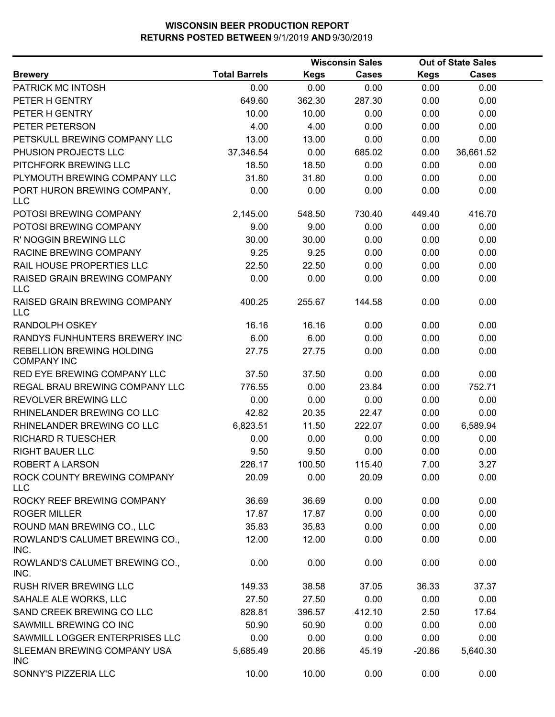|                                                        |                      |        | <b>Wisconsin Sales</b> |             | <b>Out of State Sales</b> |  |
|--------------------------------------------------------|----------------------|--------|------------------------|-------------|---------------------------|--|
| <b>Brewery</b>                                         | <b>Total Barrels</b> | Kegs   | <b>Cases</b>           | <b>Kegs</b> | <b>Cases</b>              |  |
| PATRICK MC INTOSH                                      | 0.00                 | 0.00   | 0.00                   | 0.00        | 0.00                      |  |
| PETER H GENTRY                                         | 649.60               | 362.30 | 287.30                 | 0.00        | 0.00                      |  |
| PETER H GENTRY                                         | 10.00                | 10.00  | 0.00                   | 0.00        | 0.00                      |  |
| PETER PETERSON                                         | 4.00                 | 4.00   | 0.00                   | 0.00        | 0.00                      |  |
| PETSKULL BREWING COMPANY LLC                           | 13.00                | 13.00  | 0.00                   | 0.00        | 0.00                      |  |
| PHUSION PROJECTS LLC                                   | 37,346.54            | 0.00   | 685.02                 | 0.00        | 36,661.52                 |  |
| PITCHFORK BREWING LLC                                  | 18.50                | 18.50  | 0.00                   | 0.00        | 0.00                      |  |
| PLYMOUTH BREWING COMPANY LLC                           | 31.80                | 31.80  | 0.00                   | 0.00        | 0.00                      |  |
| PORT HURON BREWING COMPANY,<br><b>LLC</b>              | 0.00                 | 0.00   | 0.00                   | 0.00        | 0.00                      |  |
| POTOSI BREWING COMPANY                                 | 2,145.00             | 548.50 | 730.40                 | 449.40      | 416.70                    |  |
| POTOSI BREWING COMPANY                                 | 9.00                 | 9.00   | 0.00                   | 0.00        | 0.00                      |  |
| R' NOGGIN BREWING LLC                                  | 30.00                | 30.00  | 0.00                   | 0.00        | 0.00                      |  |
| RACINE BREWING COMPANY                                 | 9.25                 | 9.25   | 0.00                   | 0.00        | 0.00                      |  |
| RAIL HOUSE PROPERTIES LLC                              | 22.50                | 22.50  | 0.00                   | 0.00        | 0.00                      |  |
| RAISED GRAIN BREWING COMPANY<br><b>LLC</b>             | 0.00                 | 0.00   | 0.00                   | 0.00        | 0.00                      |  |
| RAISED GRAIN BREWING COMPANY<br><b>LLC</b>             | 400.25               | 255.67 | 144.58                 | 0.00        | 0.00                      |  |
| RANDOLPH OSKEY                                         | 16.16                | 16.16  | 0.00                   | 0.00        | 0.00                      |  |
| RANDYS FUNHUNTERS BREWERY INC                          | 6.00                 | 6.00   | 0.00                   | 0.00        | 0.00                      |  |
| <b>REBELLION BREWING HOLDING</b><br><b>COMPANY INC</b> | 27.75                | 27.75  | 0.00                   | 0.00        | 0.00                      |  |
| RED EYE BREWING COMPANY LLC                            | 37.50                | 37.50  | 0.00                   | 0.00        | 0.00                      |  |
| REGAL BRAU BREWING COMPANY LLC                         | 776.55               | 0.00   | 23.84                  | 0.00        | 752.71                    |  |
| REVOLVER BREWING LLC                                   | 0.00                 | 0.00   | 0.00                   | 0.00        | 0.00                      |  |
| RHINELANDER BREWING CO LLC                             | 42.82                | 20.35  | 22.47                  | 0.00        | 0.00                      |  |
| RHINELANDER BREWING CO LLC                             | 6,823.51             | 11.50  | 222.07                 | 0.00        | 6,589.94                  |  |
| <b>RICHARD R TUESCHER</b>                              | 0.00                 | 0.00   | 0.00                   | 0.00        | 0.00                      |  |
| <b>RIGHT BAUER LLC</b>                                 | 9.50                 | 9.50   | 0.00                   | 0.00        | 0.00                      |  |
| ROBERT A LARSON                                        | 226.17               | 100.50 | 115.40                 | 7.00        | 3.27                      |  |
| ROCK COUNTY BREWING COMPANY<br><b>LLC</b>              | 20.09                | 0.00   | 20.09                  | 0.00        | 0.00                      |  |
| ROCKY REEF BREWING COMPANY                             | 36.69                | 36.69  | 0.00                   | 0.00        | 0.00                      |  |
| <b>ROGER MILLER</b>                                    | 17.87                | 17.87  | 0.00                   | 0.00        | 0.00                      |  |
| ROUND MAN BREWING CO., LLC                             | 35.83                | 35.83  | 0.00                   | 0.00        | 0.00                      |  |
| ROWLAND'S CALUMET BREWING CO.,<br>INC.                 | 12.00                | 12.00  | 0.00                   | 0.00        | 0.00                      |  |
| ROWLAND'S CALUMET BREWING CO.,<br>INC.                 | 0.00                 | 0.00   | 0.00                   | 0.00        | 0.00                      |  |
| RUSH RIVER BREWING LLC                                 | 149.33               | 38.58  | 37.05                  | 36.33       | 37.37                     |  |
| SAHALE ALE WORKS, LLC                                  | 27.50                | 27.50  | 0.00                   | 0.00        | 0.00                      |  |
| SAND CREEK BREWING CO LLC                              | 828.81               | 396.57 | 412.10                 | 2.50        | 17.64                     |  |
| SAWMILL BREWING CO INC                                 | 50.90                | 50.90  | 0.00                   | 0.00        | 0.00                      |  |
| SAWMILL LOGGER ENTERPRISES LLC                         | 0.00                 | 0.00   | 0.00                   | 0.00        | 0.00                      |  |
| SLEEMAN BREWING COMPANY USA<br><b>INC</b>              | 5,685.49             | 20.86  | 45.19                  | $-20.86$    | 5,640.30                  |  |
| SONNY'S PIZZERIA LLC                                   | 10.00                | 10.00  | 0.00                   | 0.00        | 0.00                      |  |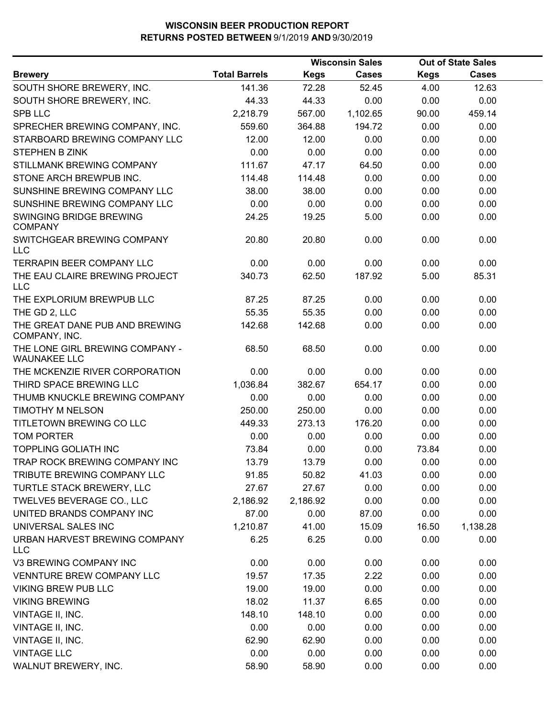|                                                        |                      | <b>Wisconsin Sales</b> |              |             | <b>Out of State Sales</b> |  |
|--------------------------------------------------------|----------------------|------------------------|--------------|-------------|---------------------------|--|
| <b>Brewery</b>                                         | <b>Total Barrels</b> | <b>Kegs</b>            | <b>Cases</b> | <b>Kegs</b> | <b>Cases</b>              |  |
| SOUTH SHORE BREWERY, INC.                              | 141.36               | 72.28                  | 52.45        | 4.00        | 12.63                     |  |
| SOUTH SHORE BREWERY, INC.                              | 44.33                | 44.33                  | 0.00         | 0.00        | 0.00                      |  |
| <b>SPB LLC</b>                                         | 2,218.79             | 567.00                 | 1,102.65     | 90.00       | 459.14                    |  |
| SPRECHER BREWING COMPANY, INC.                         | 559.60               | 364.88                 | 194.72       | 0.00        | 0.00                      |  |
| STARBOARD BREWING COMPANY LLC                          | 12.00                | 12.00                  | 0.00         | 0.00        | 0.00                      |  |
| STEPHEN B ZINK                                         | 0.00                 | 0.00                   | 0.00         | 0.00        | 0.00                      |  |
| STILLMANK BREWING COMPANY                              | 111.67               | 47.17                  | 64.50        | 0.00        | 0.00                      |  |
| STONE ARCH BREWPUB INC.                                | 114.48               | 114.48                 | 0.00         | 0.00        | 0.00                      |  |
| SUNSHINE BREWING COMPANY LLC                           | 38.00                | 38.00                  | 0.00         | 0.00        | 0.00                      |  |
| SUNSHINE BREWING COMPANY LLC                           | 0.00                 | 0.00                   | 0.00         | 0.00        | 0.00                      |  |
| SWINGING BRIDGE BREWING<br><b>COMPANY</b>              | 24.25                | 19.25                  | 5.00         | 0.00        | 0.00                      |  |
| SWITCHGEAR BREWING COMPANY<br><b>LLC</b>               | 20.80                | 20.80                  | 0.00         | 0.00        | 0.00                      |  |
| <b>TERRAPIN BEER COMPANY LLC</b>                       | 0.00                 | 0.00                   | 0.00         | 0.00        | 0.00                      |  |
| THE EAU CLAIRE BREWING PROJECT<br><b>LLC</b>           | 340.73               | 62.50                  | 187.92       | 5.00        | 85.31                     |  |
| THE EXPLORIUM BREWPUB LLC                              | 87.25                | 87.25                  | 0.00         | 0.00        | 0.00                      |  |
| THE GD 2, LLC                                          | 55.35                | 55.35                  | 0.00         | 0.00        | 0.00                      |  |
| THE GREAT DANE PUB AND BREWING<br>COMPANY, INC.        | 142.68               | 142.68                 | 0.00         | 0.00        | 0.00                      |  |
| THE LONE GIRL BREWING COMPANY -<br><b>WAUNAKEE LLC</b> | 68.50                | 68.50                  | 0.00         | 0.00        | 0.00                      |  |
| THE MCKENZIE RIVER CORPORATION                         | 0.00                 | 0.00                   | 0.00         | 0.00        | 0.00                      |  |
| THIRD SPACE BREWING LLC                                | 1,036.84             | 382.67                 | 654.17       | 0.00        | 0.00                      |  |
| THUMB KNUCKLE BREWING COMPANY                          | 0.00                 | 0.00                   | 0.00         | 0.00        | 0.00                      |  |
| <b>TIMOTHY M NELSON</b>                                | 250.00               | 250.00                 | 0.00         | 0.00        | 0.00                      |  |
| TITLETOWN BREWING CO LLC                               | 449.33               | 273.13                 | 176.20       | 0.00        | 0.00                      |  |
| <b>TOM PORTER</b>                                      | 0.00                 | 0.00                   | 0.00         | 0.00        | 0.00                      |  |
| <b>TOPPLING GOLIATH INC</b>                            | 73.84                | 0.00                   | 0.00         | 73.84       | 0.00                      |  |
| TRAP ROCK BREWING COMPANY INC                          | 13.79                | 13.79                  | 0.00         | 0.00        | 0.00                      |  |
| TRIBUTE BREWING COMPANY LLC                            | 91.85                | 50.82                  | 41.03        | 0.00        | 0.00                      |  |
| TURTLE STACK BREWERY, LLC                              | 27.67                | 27.67                  | 0.00         | 0.00        | 0.00                      |  |
| TWELVE5 BEVERAGE CO., LLC                              | 2,186.92             | 2,186.92               | 0.00         | 0.00        | 0.00                      |  |
| UNITED BRANDS COMPANY INC                              | 87.00                | 0.00                   | 87.00        | 0.00        | 0.00                      |  |
| UNIVERSAL SALES INC                                    | 1,210.87             | 41.00                  | 15.09        | 16.50       | 1,138.28                  |  |
| URBAN HARVEST BREWING COMPANY<br>LLC                   | 6.25                 | 6.25                   | 0.00         | 0.00        | 0.00                      |  |
| V3 BREWING COMPANY INC                                 | 0.00                 | 0.00                   | 0.00         | 0.00        | 0.00                      |  |
| VENNTURE BREW COMPANY LLC                              | 19.57                | 17.35                  | 2.22         | 0.00        | 0.00                      |  |
| <b>VIKING BREW PUB LLC</b>                             | 19.00                | 19.00                  | 0.00         | 0.00        | 0.00                      |  |
| <b>VIKING BREWING</b>                                  | 18.02                | 11.37                  | 6.65         | 0.00        | 0.00                      |  |
| VINTAGE II, INC.                                       | 148.10               | 148.10                 | 0.00         | 0.00        | 0.00                      |  |
| VINTAGE II, INC.                                       | 0.00                 | 0.00                   | 0.00         | 0.00        | 0.00                      |  |
| VINTAGE II, INC.                                       | 62.90                | 62.90                  | 0.00         | 0.00        | 0.00                      |  |
| <b>VINTAGE LLC</b>                                     | 0.00                 | 0.00                   | 0.00         | 0.00        | 0.00                      |  |
| WALNUT BREWERY, INC.                                   | 58.90                | 58.90                  | 0.00         | 0.00        | 0.00                      |  |